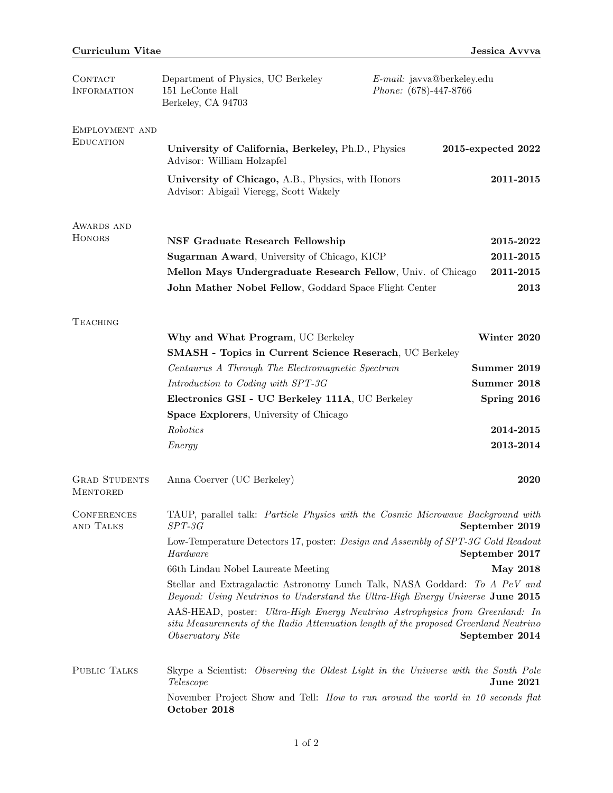| <b>CONTACT</b><br><b>INFORMATION</b>    | Department of Physics, UC Berkeley<br>151 LeConte Hall<br>Berkeley, CA 94703                                                                                                                    | E-mail: javva@berkeley.edu<br>Phone: (678)-447-8766 |  |
|-----------------------------------------|-------------------------------------------------------------------------------------------------------------------------------------------------------------------------------------------------|-----------------------------------------------------|--|
| EMPLOYMENT AND<br><b>EDUCATION</b>      | University of California, Berkeley, Ph.D., Physics<br>Advisor: William Holzapfel                                                                                                                | 2015-expected 2022                                  |  |
|                                         | University of Chicago, A.B., Physics, with Honors<br>Advisor: Abigail Vieregg, Scott Wakely                                                                                                     | 2011-2015                                           |  |
| AWARDS AND                              |                                                                                                                                                                                                 |                                                     |  |
| <b>HONORS</b>                           | <b>NSF Graduate Research Fellowship</b>                                                                                                                                                         | 2015-2022                                           |  |
|                                         | Sugarman Award, University of Chicago, KICP                                                                                                                                                     | 2011-2015                                           |  |
|                                         | Mellon Mays Undergraduate Research Fellow, Univ. of Chicago                                                                                                                                     | 2011-2015                                           |  |
|                                         | John Mather Nobel Fellow, Goddard Space Flight Center                                                                                                                                           | 2013                                                |  |
| <b>TEACHING</b>                         |                                                                                                                                                                                                 |                                                     |  |
|                                         | Why and What Program, UC Berkeley                                                                                                                                                               | Winter 2020                                         |  |
|                                         | <b>SMASH - Topics in Current Science Reserach, UC Berkeley</b>                                                                                                                                  |                                                     |  |
|                                         | Centaurus A Through The Electromagnetic Spectrum<br>Summer 2019                                                                                                                                 |                                                     |  |
|                                         | Introduction to Coding with SPT-3G                                                                                                                                                              | Summer 2018                                         |  |
|                                         | Electronics GSI - UC Berkeley 111A, UC Berkeley                                                                                                                                                 | Spring 2016                                         |  |
|                                         | <b>Space Explorers</b> , University of Chicago                                                                                                                                                  |                                                     |  |
|                                         | Robotics                                                                                                                                                                                        | 2014-2015                                           |  |
|                                         | Energy                                                                                                                                                                                          | 2013-2014                                           |  |
| <b>GRAD STUDENTS</b><br><b>MENTORED</b> | Anna Coerver (UC Berkeley)                                                                                                                                                                      | 2020                                                |  |
| <b>CONFERENCES</b><br>AND TALKS         | TAUP, parallel talk: Particle Physics with the Cosmic Microwave Background with<br>$SPT-3G$<br>September 2019                                                                                   |                                                     |  |
|                                         | Low-Temperature Detectors 17, poster: Design and Assembly of SPT-3G Cold Readout<br>Hardware<br>September 2017                                                                                  |                                                     |  |
|                                         | 66th Lindau Nobel Laureate Meeting                                                                                                                                                              | <b>May 2018</b>                                     |  |
|                                         | Stellar and Extragalactic Astronomy Lunch Talk, NASA Goddard: To A PeV and<br>Beyond: Using Neutrinos to Understand the Ultra-High Energy Universe June 2015                                    |                                                     |  |
|                                         | AAS-HEAD, poster: Ultra-High Energy Neutrino Astrophysics from Greenland: In<br>situ Measurements of the Radio Attenuation length of the proposed Greenland Neutrino<br><i>Observatory Site</i> | September 2014                                      |  |
| PUBLIC TALKS                            | Skype a Scientist: Observing the Oldest Light in the Universe with the South Pole<br>Telescope                                                                                                  | <b>June 2021</b>                                    |  |
|                                         | November Project Show and Tell: How to run around the world in 10 seconds flat<br>October 2018                                                                                                  |                                                     |  |